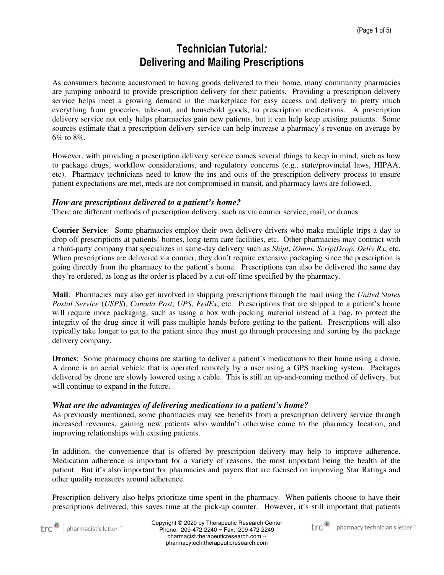## Technician Tutorial: Delivering and Mailing Prescriptions

As consumers become accustomed to having goods delivered to their home, many community pharmacies are jumping onboard to provide prescription delivery for their patients. Providing a prescription delivery service helps meet a growing demand in the marketplace for easy access and delivery to pretty much everything from groceries, take-out, and household goods, to prescription medications. A prescription delivery service not only helps pharmacies gain new patients, but it can help keep existing patients. Some sources estimate that a prescription delivery service can help increase a pharmacy's revenue on average by  $6\%$  to  $8\%$ 

However, with providing a prescription delivery service comes several things to keep in mind, such as how to package drugs, workflow considerations, and regulatory concerns (e.g., state/provincial laws, HIPAA, etc). Pharmacy technicians need to know the ins and outs of the prescription delivery process to ensure patient expectations are met, meds are not compromised in transit, and pharmacy laws are followed.

## *How are prescriptions delivered to a patient's home?*

There are different methods of prescription delivery, such as via courier service, mail, or drones.

**Courier Service**: Some pharmacies employ their own delivery drivers who make multiple trips a day to drop off prescriptions at patients' homes, long-term care facilities, etc. Other pharmacies may contract with a third-party company that specializes in same-day delivery such as *Shipt*, *iOmni*, *ScriptDrop*, *Deliv Rx*, etc. When prescriptions are delivered via courier, they don't require extensive packaging since the prescription is going directly from the pharmacy to the patient's home. Prescriptions can also be delivered the same day they're ordered, as long as the order is placed by a cut-off time specified by the pharmacy.

**Mail**: Pharmacies may also get involved in shipping prescriptions through the mail using the *United States Postal Service* (*USPS*), *Canada Post*, *UPS*, *FedEx*, etc. Prescriptions that are shipped to a patient's home will require more packaging, such as using a box with packing material instead of a bag, to protect the integrity of the drug since it will pass multiple hands before getting to the patient. Prescriptions will also typically take longer to get to the patient since they must go through processing and sorting by the package delivery company.

**Drones**: Some pharmacy chains are starting to deliver a patient's medications to their home using a drone. A drone is an aerial vehicle that is operated remotely by a user using a GPS tracking system. Packages delivered by drone are slowly lowered using a cable. This is still an up-and-coming method of delivery, but will continue to expand in the future.

#### *What are the advantages of delivering medications to a patient's home?*

As previously mentioned, some pharmacies may see benefits from a prescription delivery service through increased revenues, gaining new patients who wouldn't otherwise come to the pharmacy location, and improving relationships with existing patients.

In addition, the convenience that is offered by prescription delivery may help to improve adherence. Medication adherence is important for a variety of reasons, the most important being the health of the patient. But it's also important for pharmacies and payers that are focused on improving Star Ratings and other quality measures around adherence.

Prescription delivery also helps prioritize time spent in the pharmacy. When patients choose to have their prescriptions delivered, this saves time at the pick-up counter. However, it's still important that patients



Copyright © 2020 by Therapeutic Research Center Phone: 209-472-2240 ~ Fax: 209-472-2249 pharmacist.therapeuticresearch.com ~ pharmacytech.therapeuticresearch.com

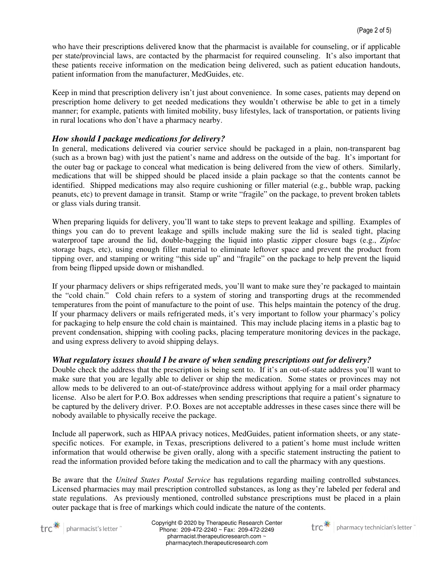who have their prescriptions delivered know that the pharmacist is available for counseling, or if applicable per state/provincial laws, are contacted by the pharmacist for required counseling. It's also important that these patients receive information on the medication being delivered, such as patient education handouts, patient information from the manufacturer, MedGuides, etc.

Keep in mind that prescription delivery isn't just about convenience. In some cases, patients may depend on prescription home delivery to get needed medications they wouldn't otherwise be able to get in a timely manner; for example, patients with limited mobility, busy lifestyles, lack of transportation, or patients living in rural locations who don't have a pharmacy nearby.

#### *How should I package medications for delivery?*

In general, medications delivered via courier service should be packaged in a plain, non-transparent bag (such as a brown bag) with just the patient's name and address on the outside of the bag. It's important for the outer bag or package to conceal what medication is being delivered from the view of others. Similarly, medications that will be shipped should be placed inside a plain package so that the contents cannot be identified. Shipped medications may also require cushioning or filler material (e.g., bubble wrap, packing peanuts, etc) to prevent damage in transit. Stamp or write "fragile" on the package, to prevent broken tablets or glass vials during transit.

When preparing liquids for delivery, you'll want to take steps to prevent leakage and spilling. Examples of things you can do to prevent leakage and spills include making sure the lid is sealed tight, placing waterproof tape around the lid, double-bagging the liquid into plastic zipper closure bags (e.g., *Ziploc* storage bags, etc), using enough filler material to eliminate leftover space and prevent the product from tipping over, and stamping or writing "this side up" and "fragile" on the package to help prevent the liquid from being flipped upside down or mishandled.

If your pharmacy delivers or ships refrigerated meds, you'll want to make sure they're packaged to maintain the "cold chain." Cold chain refers to a system of storing and transporting drugs at the recommended temperatures from the point of manufacture to the point of use. This helps maintain the potency of the drug. If your pharmacy delivers or mails refrigerated meds, it's very important to follow your pharmacy's policy for packaging to help ensure the cold chain is maintained. This may include placing items in a plastic bag to prevent condensation, shipping with cooling packs, placing temperature monitoring devices in the package, and using express delivery to avoid shipping delays.

#### *What regulatory issues should I be aware of when sending prescriptions out for delivery?*

Double check the address that the prescription is being sent to. If it's an out-of-state address you'll want to make sure that you are legally able to deliver or ship the medication. Some states or provinces may not allow meds to be delivered to an out-of-state/province address without applying for a mail order pharmacy license. Also be alert for P.O. Box addresses when sending prescriptions that require a patient's signature to be captured by the delivery driver. P.O. Boxes are not acceptable addresses in these cases since there will be nobody available to physically receive the package.

Include all paperwork, such as HIPAA privacy notices, MedGuides, patient information sheets, or any statespecific notices. For example, in Texas, prescriptions delivered to a patient's home must include written information that would otherwise be given orally, along with a specific statement instructing the patient to read the information provided before taking the medication and to call the pharmacy with any questions.

Be aware that the *United States Postal Service* has regulations regarding mailing controlled substances. Licensed pharmacies may mail prescription controlled substances, as long as they're labeled per federal and state regulations. As previously mentioned, controlled substance prescriptions must be placed in a plain outer package that is free of markings which could indicate the nature of the contents.



Copyright © 2020 by Therapeutic Research Center Phone: 209-472-2240 ~ Fax: 209-472-2249 pharmacist.therapeuticresearch.com ~ pharmacytech.therapeuticresearch.com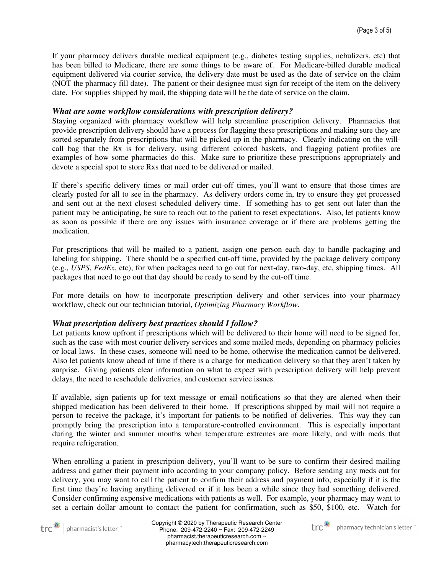If your pharmacy delivers durable medical equipment (e.g., diabetes testing supplies, nebulizers, etc) that has been billed to Medicare, there are some things to be aware of. For Medicare-billed durable medical equipment delivered via courier service, the delivery date must be used as the date of service on the claim (NOT the pharmacy fill date). The patient or their designee must sign for receipt of the item on the delivery date. For supplies shipped by mail, the shipping date will be the date of service on the claim.

#### *What are some workflow considerations with prescription delivery?*

Staying organized with pharmacy workflow will help streamline prescription delivery. Pharmacies that provide prescription delivery should have a process for flagging these prescriptions and making sure they are sorted separately from prescriptions that will be picked up in the pharmacy. Clearly indicating on the willcall bag that the Rx is for delivery, using different colored baskets, and flagging patient profiles are examples of how some pharmacies do this. Make sure to prioritize these prescriptions appropriately and devote a special spot to store Rxs that need to be delivered or mailed.

If there's specific delivery times or mail order cut-off times, you'll want to ensure that those times are clearly posted for all to see in the pharmacy. As delivery orders come in, try to ensure they get processed and sent out at the next closest scheduled delivery time. If something has to get sent out later than the patient may be anticipating, be sure to reach out to the patient to reset expectations. Also, let patients know as soon as possible if there are any issues with insurance coverage or if there are problems getting the medication.

For prescriptions that will be mailed to a patient, assign one person each day to handle packaging and labeling for shipping. There should be a specified cut-off time, provided by the package delivery company (e.g., *USPS*, *FedEx*, etc), for when packages need to go out for next-day, two-day, etc, shipping times. All packages that need to go out that day should be ready to send by the cut-off time.

For more details on how to incorporate prescription delivery and other services into your pharmacy workflow, check out our technician tutorial, *Optimizing Pharmacy Workflow*.

#### *What prescription delivery best practices should I follow?*

Let patients know upfront if prescriptions which will be delivered to their home will need to be signed for, such as the case with most courier delivery services and some mailed meds, depending on pharmacy policies or local laws. In these cases, someone will need to be home, otherwise the medication cannot be delivered. Also let patients know ahead of time if there is a charge for medication delivery so that they aren't taken by surprise. Giving patients clear information on what to expect with prescription delivery will help prevent delays, the need to reschedule deliveries, and customer service issues.

If available, sign patients up for text message or email notifications so that they are alerted when their shipped medication has been delivered to their home. If prescriptions shipped by mail will not require a person to receive the package, it's important for patients to be notified of deliveries. This way they can promptly bring the prescription into a temperature-controlled environment. This is especially important during the winter and summer months when temperature extremes are more likely, and with meds that require refrigeration.

When enrolling a patient in prescription delivery, you'll want to be sure to confirm their desired mailing address and gather their payment info according to your company policy. Before sending any meds out for delivery, you may want to call the patient to confirm their address and payment info, especially if it is the first time they're having anything delivered or if it has been a while since they had something delivered. Consider confirming expensive medications with patients as well. For example, your pharmacy may want to set a certain dollar amount to contact the patient for confirmation, such as \$50, \$100, etc. Watch for



Copyright © 2020 by Therapeutic Research Center Phone: 209-472-2240 ~ Fax: 209-472-2249 pharmacist.therapeuticresearch.com ~ pharmacytech.therapeuticresearch.com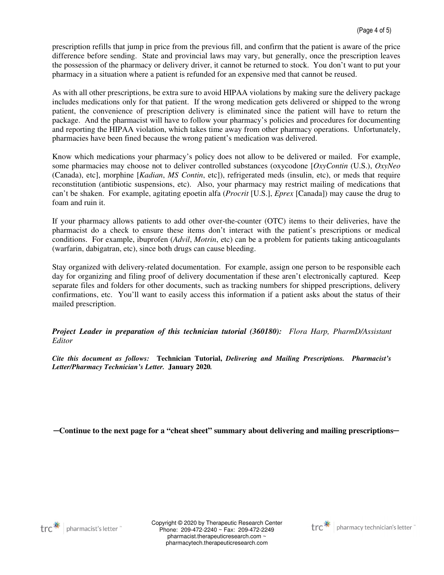prescription refills that jump in price from the previous fill, and confirm that the patient is aware of the price difference before sending. State and provincial laws may vary, but generally, once the prescription leaves the possession of the pharmacy or delivery driver, it cannot be returned to stock. You don't want to put your pharmacy in a situation where a patient is refunded for an expensive med that cannot be reused.

As with all other prescriptions, be extra sure to avoid HIPAA violations by making sure the delivery package includes medications only for that patient. If the wrong medication gets delivered or shipped to the wrong patient, the convenience of prescription delivery is eliminated since the patient will have to return the package. And the pharmacist will have to follow your pharmacy's policies and procedures for documenting and reporting the HIPAA violation, which takes time away from other pharmacy operations. Unfortunately, pharmacies have been fined because the wrong patient's medication was delivered.

Know which medications your pharmacy's policy does not allow to be delivered or mailed. For example, some pharmacies may choose not to deliver controlled substances (oxycodone [*OxyContin* (U.S.), *OxyNeo* (Canada), etc], morphine [*Kadian*, *MS Contin*, etc]), refrigerated meds (insulin, etc), or meds that require reconstitution (antibiotic suspensions, etc). Also, your pharmacy may restrict mailing of medications that can't be shaken. For example, agitating epoetin alfa (*Procrit* [U.S.], *Eprex* [Canada]) may cause the drug to foam and ruin it.

If your pharmacy allows patients to add other over-the-counter (OTC) items to their deliveries, have the pharmacist do a check to ensure these items don't interact with the patient's prescriptions or medical conditions. For example, ibuprofen (*Advil*, *Motrin*, etc) can be a problem for patients taking anticoagulants (warfarin, dabigatran, etc), since both drugs can cause bleeding.

Stay organized with delivery-related documentation. For example, assign one person to be responsible each day for organizing and filing proof of delivery documentation if these aren't electronically captured. Keep separate files and folders for other documents, such as tracking numbers for shipped prescriptions, delivery confirmations, etc. You'll want to easily access this information if a patient asks about the status of their mailed prescription.

*Project Leader in preparation of this technician tutorial (360180): Flora Harp, PharmD/Assistant Editor* 

*Cite this document as follows:* **Technician Tutorial,** *Delivering and Mailing Prescriptions. Pharmacist's Letter/Pharmacy Technician's Letter.* **January 2020***.* 

─**Continue to the next page for a "cheat sheet" summary about delivering and mailing prescriptions**─